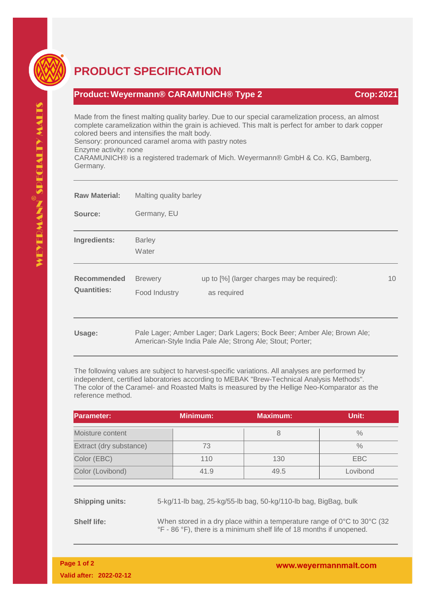

## **PRODUCT SPECIFICATION**

## **Product:Weyermann® CARAMUNICH® Type 2 Crop:2021**

Made from the finest malting quality barley. Due to our special caramelization process, an almost complete caramelization within the grain is achieved. This malt is perfect for amber to dark copper colored beers and intensifies the malt body.

Sensory: pronounced caramel aroma with pastry notes

Enzyme activity: none

CARAMUNICH® is a registered trademark of Mich. Weyermann® GmbH & Co. KG, Bamberg, Germany.

| <b>Raw Material:</b>                     | Malting quality barley                                                 |                                                            |    |  |  |
|------------------------------------------|------------------------------------------------------------------------|------------------------------------------------------------|----|--|--|
| Source:                                  | Germany, EU                                                            |                                                            |    |  |  |
| Ingredients:                             | <b>Barley</b><br>Water                                                 |                                                            |    |  |  |
| <b>Recommended</b><br><b>Quantities:</b> | <b>Brewery</b><br>Food Industry                                        | up to [%] (larger charges may be required):<br>as required | 10 |  |  |
| Usage:                                   | Pale Lager; Amber Lager; Dark Lagers; Bock Beer; Amber Ale; Brown Ale; |                                                            |    |  |  |

Pale Lager; Amber Lager; Dark Lagers; Bock Beer; Amber Ale; Brown Ale; American-Style India Pale Ale; Strong Ale; Stout; Porter;

The following values are subject to harvest-specific variations. All analyses are performed by independent, certified laboratories according to MEBAK "Brew-Technical Analysis Methods". The color of the Caramel- and Roasted Malts is measured by the Hellige Neo-Komparator as the reference method.

| <b>Parameter:</b>       |                                                                                                                                                                      | <b>Minimum:</b> | <b>Maximum:</b> | Unit:         |  |  |
|-------------------------|----------------------------------------------------------------------------------------------------------------------------------------------------------------------|-----------------|-----------------|---------------|--|--|
| Moisture content        |                                                                                                                                                                      |                 | 8               | $\frac{0}{0}$ |  |  |
| Extract (dry substance) |                                                                                                                                                                      | 73              |                 | $\frac{0}{0}$ |  |  |
| Color (EBC)             |                                                                                                                                                                      | 110             | 130             | <b>EBC</b>    |  |  |
| Color (Lovibond)        |                                                                                                                                                                      | 41.9            | 49.5            | Lovibond      |  |  |
| <b>Shipping units:</b>  | 5-kg/11-lb bag, 25-kg/55-lb bag, 50-kg/110-lb bag, BigBag, bulk                                                                                                      |                 |                 |               |  |  |
| <b>Shelf life:</b>      | When stored in a dry place within a temperature range of $0^{\circ}$ C to $30^{\circ}$ C (32<br>°F - 86 °F), there is a minimum shelf life of 18 months if unopened. |                 |                 |               |  |  |

www.weyermannmalt.com